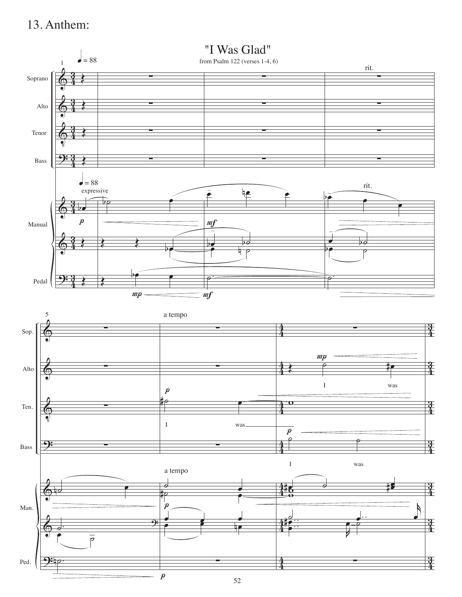## 13. Anthem:

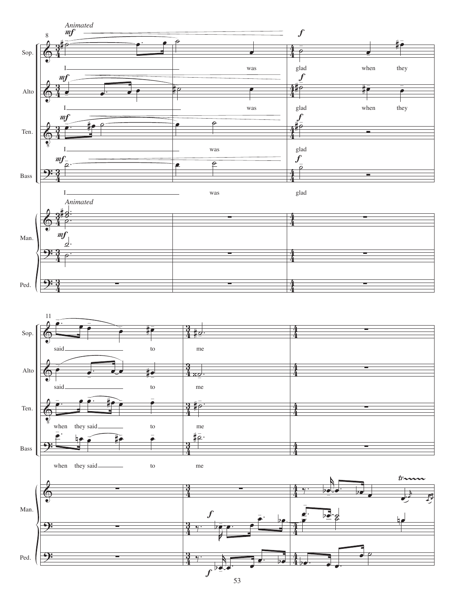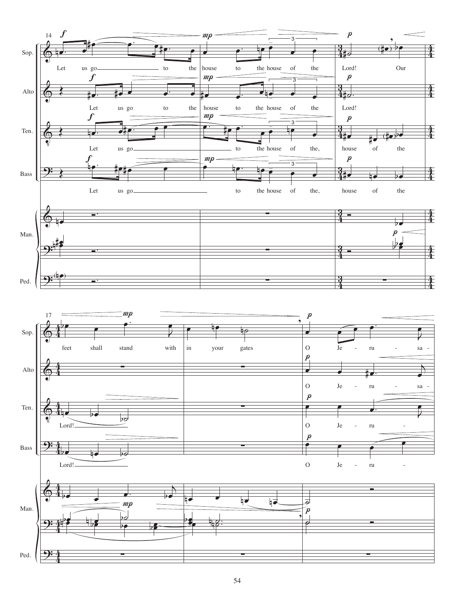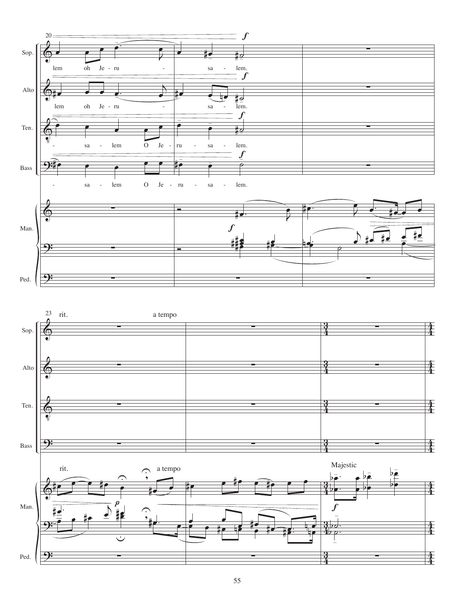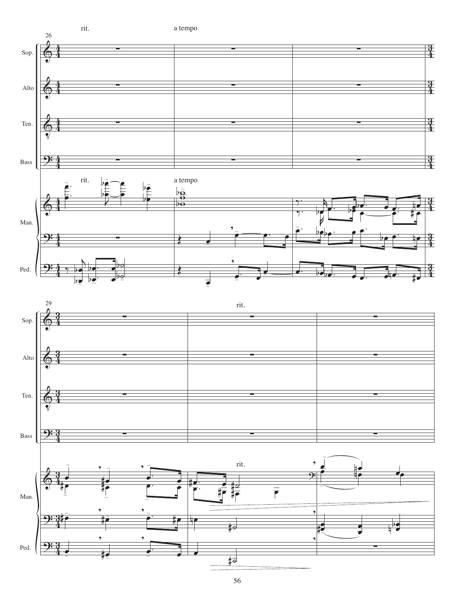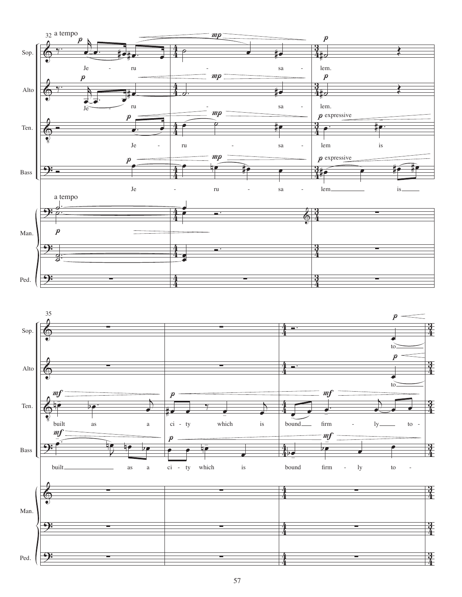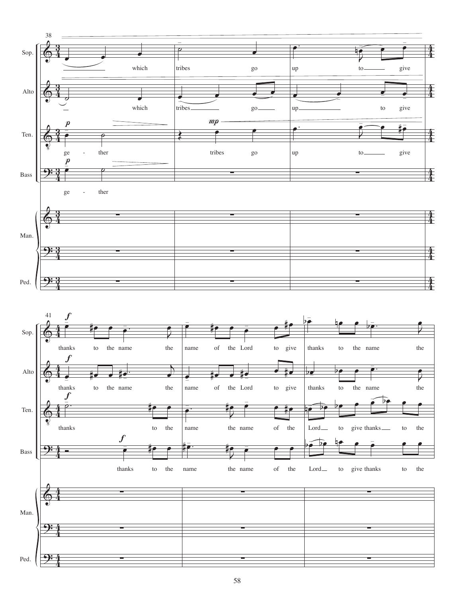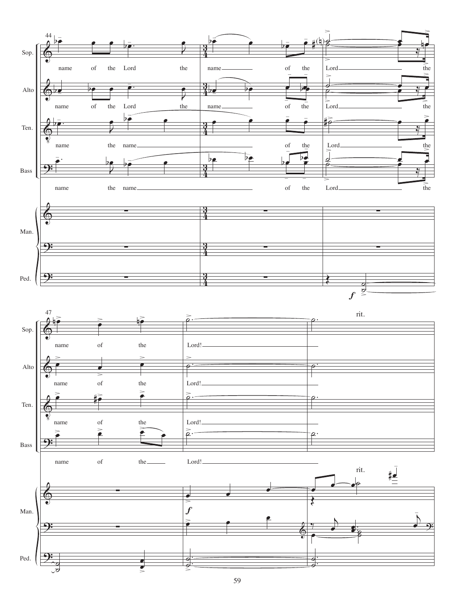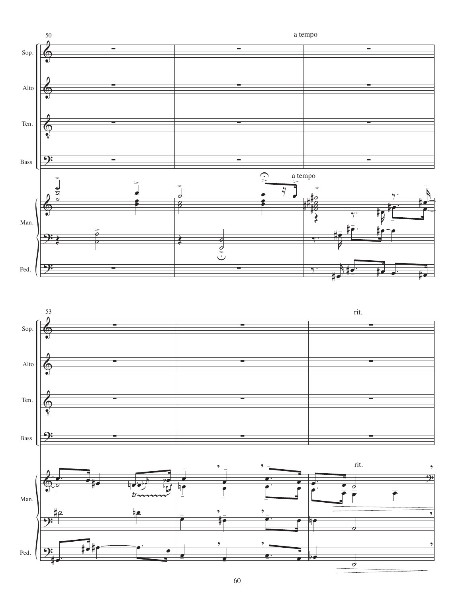

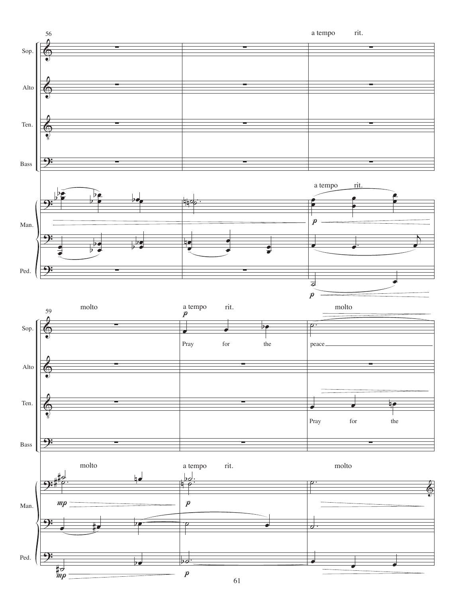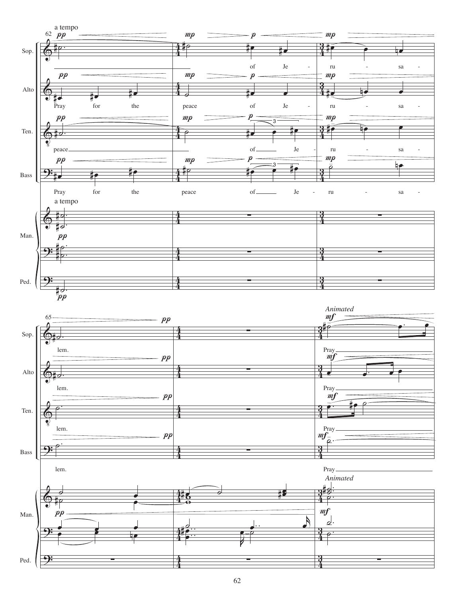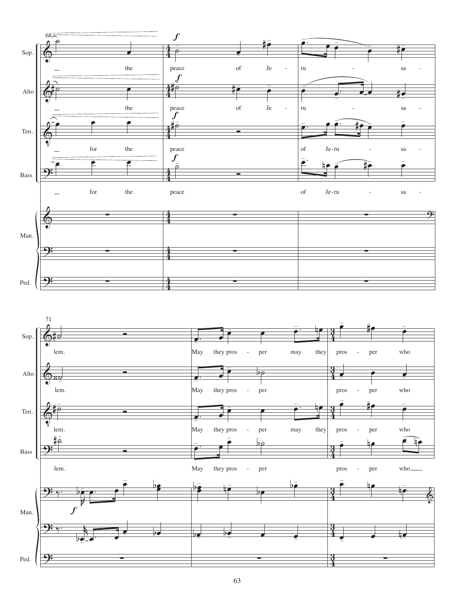